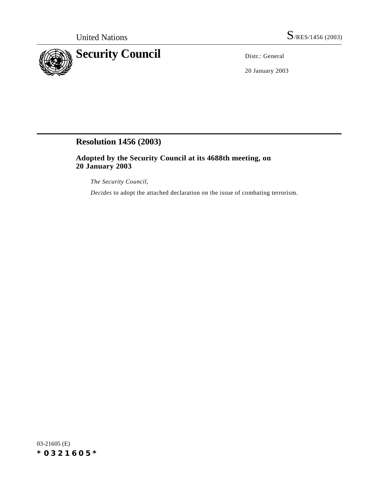

20 January 2003

## **Resolution 1456 (2003)**

**Adopted by the Security Council at its 4688th meeting, on 20 January 2003**

*The Security Council*,

*Decides* to adopt the attached declaration on the issue of combating terrorism.

03-21605 (E) *\*0321605\**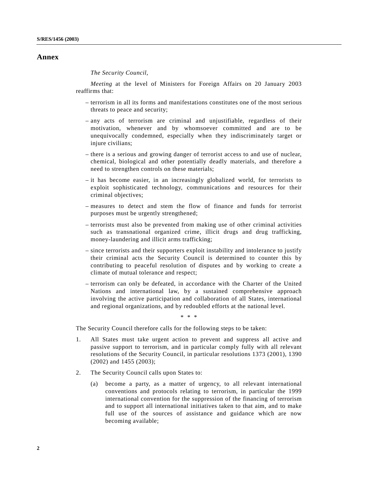## **Annex**

*The Security Council*,

*Meeting* at the level of Ministers for Foreign Affairs on 20 January 2003 reaffirms that:

- terrorism in all its forms and manifestations constitutes one of the most serious threats to peace and security;
- any acts of terrorism are criminal and unjustifiable, regardless of their motivation, whenever and by whomsoever committed and are to be unequivocally condemned, especially when they indiscriminately target or injure civilians;
- there is a serious and growing danger of terrorist access to and use of nuclear, chemical, biological and other potentially deadly materials, and therefore a need to strengthen controls on these materials;
- it has become easier, in an increasingly globalized world, for terrorists to exploit sophisticated technology, communications and resources for their criminal objectives;
- measures to detect and stem the flow of finance and funds for terrorist purposes must be urgently strengthened;
- terrorists must also be prevented from making use of other criminal activities such as transnational organized crime, illicit drugs and drug trafficking, money-laundering and illicit arms trafficking;
- since terrorists and their supporters exploit instability and intolerance to justify their criminal acts the Security Council is determined to counter this by contributing to peaceful resolution of disputes and by working to create a climate of mutual tolerance and respect;
- terrorism can only be defeated, in accordance with the Charter of the United Nations and international law, by a sustained comprehensive approach involving the active participation and collaboration of all States, international and regional organizations, and by redoubled efforts at the national level.

\* \* \*

The Security Council therefore calls for the following steps to be taken:

- 1. All States must take urgent action to prevent and suppress all active and passive support to terrorism, and in particular comply fully with all relevant resolutions of the Security Council, in particular resolutions 1373 (2001), 1390 (2002) and 1455 (2003);
- 2. The Security Council calls upon States to:
	- (a) become a party, as a matter of urgency, to all relevant international conventions and protocols relating to terrorism, in particular the 1999 international convention for the suppression of the financing of terrorism and to support all international initiatives taken to that aim, and to make full use of the sources of assistance and guidance which are now becoming available;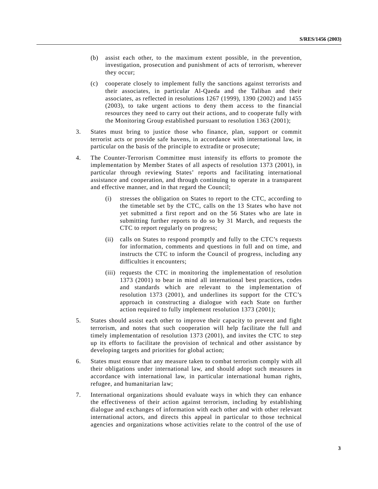- (b) assist each other, to the maximum extent possible, in the prevention, investigation, prosecution and punishment of acts of terrorism, wherever they occur;
- (c) cooperate closely to implement fully the sanctions against terrorists and their associates, in particular Al-Qaeda and the Taliban and their associates, as reflected in resolutions 1267 (1999), 1390 (2002) and 1455 (2003), to take urgent actions to deny them access to the financial resources they need to carry out their actions, and to cooperate fully with the Monitoring Group established pursuant to resolution 1363 (2001);
- 3. States must bring to justice those who finance, plan, support or commit terrorist acts or provide safe havens, in accordance with international law, in particular on the basis of the principle to extradite or prosecute;
- 4. The Counter-Terrorism Committee must intensify its efforts to promote the implementation by Member States of all aspects of resolution 1373 (2001), in particular through reviewing States' reports and facilitating international assistance and cooperation, and through continuing to operate in a transparent and effective manner, and in that regard the Council;
	- (i) stresses the obligation on States to report to the CTC, according to the timetable set by the CTC, calls on the 13 States who have not yet submitted a first report and on the 56 States who are late in submitting further reports to do so by 31 March, and requests the CTC to report regularly on progress;
	- (ii) calls on States to respond promptly and fully to the CTC's requests for information, comments and questions in full and on time, and instructs the CTC to inform the Council of progress, including any difficulties it encounters;
	- (iii) requests the CTC in monitoring the implementation of resolution 1373 (2001) to bear in mind all international best practices, codes and standards which are relevant to the implementation of resolution 1373 (2001), and underlines its support for the CTC's approach in constructing a dialogue with each State on further action required to fully implement resolution 1373 (2001);
- 5. States should assist each other to improve their capacity to prevent and fight terrorism, and notes that such cooperation will help facilitate the full and timely implementation of resolution 1373 (2001), and invites the CTC to step up its efforts to facilitate the provision of technical and other assistance by developing targets and priorities for global action;
- 6. States must ensure that any measure taken to combat terrorism comply with all their obligations under international law, and should adopt such measures in accordance with international law, in particular international human rights, refugee, and humanitarian law;
- 7. International organizations should evaluate ways in which they can enhance the effectiveness of their action against terrorism, including by establishing dialogue and exchanges of information with each other and with other relevant international actors, and directs this appeal in particular to those technical agencies and organizations whose activities relate to the control of the use of